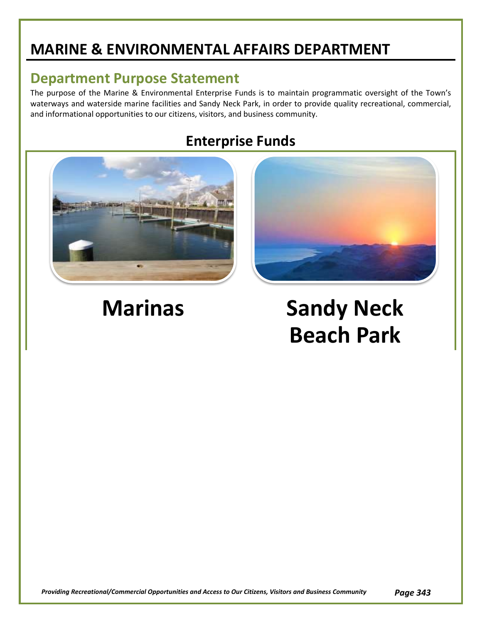## **MARINE & ENVIRONMENTAL AFFAIRS DEPARTMENT**

### **Department Purpose Statement**

The purpose of the Marine & Environmental Enterprise Funds is to maintain programmatic oversight of the Town's waterways and waterside marine facilities and Sandy Neck Park, in order to provide quality recreational, commercial, and informational opportunities to our citizens, visitors, and business community.

### **Enterprise Funds**



# **Marinas Sandy Neck Beach Park**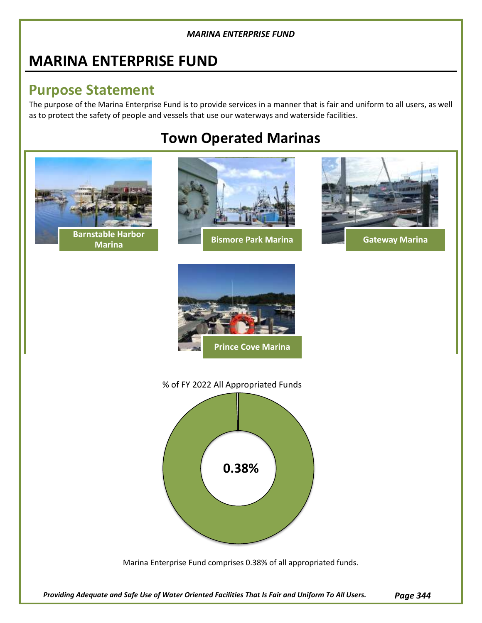### **MARINA ENTERPRISE FUND**

### **Purpose Statement**

The purpose of the Marina Enterprise Fund is to provide services in a manner that is fair and uniform to all users, as well as to protect the safety of people and vessels that use our waterways and waterside facilities.

### **Town Operated Marinas**

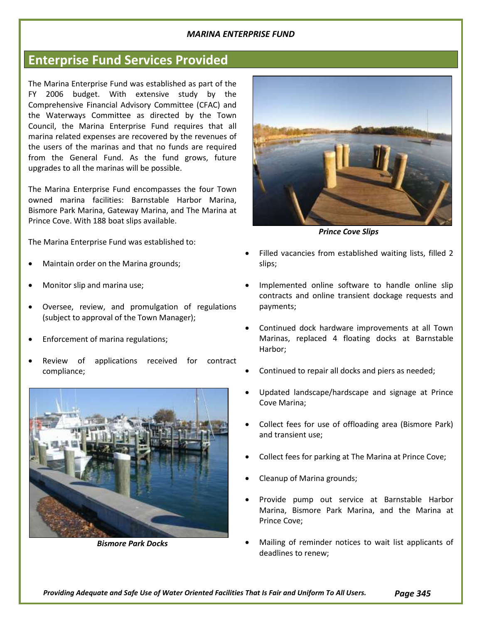### **Enterprise Fund Services Provided**

The Marina Enterprise Fund was established as part of the FY 2006 budget. With extensive study by the Comprehensive Financial Advisory Committee (CFAC) and the Waterways Committee as directed by the Town Council, the Marina Enterprise Fund requires that all marina related expenses are recovered by the revenues of the users of the marinas and that no funds are required from the General Fund. As the fund grows, future upgrades to all the marinas will be possible.

The Marina Enterprise Fund encompasses the four Town owned marina facilities: Barnstable Harbor Marina, Bismore Park Marina, Gateway Marina, and The Marina at Prince Cove. With 188 boat slips available.

The Marina Enterprise Fund was established to:

- Maintain order on the Marina grounds;
- Monitor slip and marina use;
- Oversee, review, and promulgation of regulations (subject to approval of the Town Manager);
- Enforcement of marina regulations;
- Review of applications received for contract compliance;



*Bismore Park Docks*



*Prince Cove Slips*

- Filled vacancies from established waiting lists, filled 2 slips;
- Implemented online software to handle online slip contracts and online transient dockage requests and payments;
- Continued dock hardware improvements at all Town Marinas, replaced 4 floating docks at Barnstable Harbor;
- Continued to repair all docks and piers as needed;
- Updated landscape/hardscape and signage at Prince Cove Marina;
- Collect fees for use of offloading area (Bismore Park) and transient use;
- Collect fees for parking at The Marina at Prince Cove;
- Cleanup of Marina grounds;
- Provide pump out service at Barnstable Harbor Marina, Bismore Park Marina, and the Marina at Prince Cove;
- Mailing of reminder notices to wait list applicants of deadlines to renew;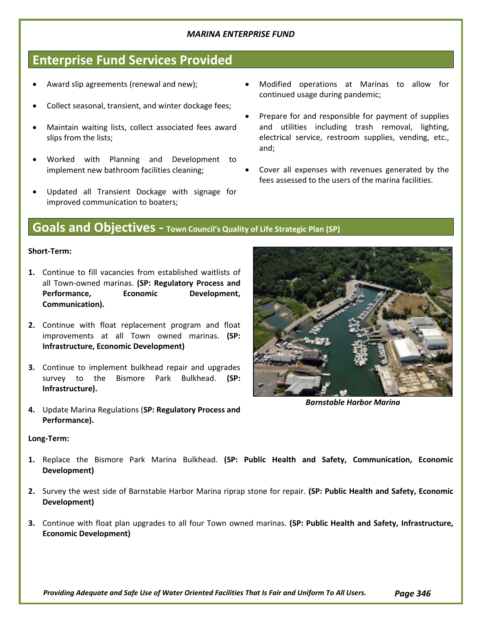### **Enterprise Fund Services Provided**

- Award slip agreements (renewal and new);
- Collect seasonal, transient, and winter dockage fees;
- Maintain waiting lists, collect associated fees award slips from the lists;
- Worked with Planning and Development to implement new bathroom facilities cleaning;
- Updated all Transient Dockage with signage for improved communication to boaters;
- Modified operations at Marinas to allow for continued usage during pandemic;
- Prepare for and responsible for payment of supplies and utilities including trash removal, lighting, electrical service, restroom supplies, vending, etc., and;
- Cover all expenses with revenues generated by the fees assessed to the users of the marina facilities.

### **Goals and Objectives - Town Council's Quality of Life Strategic Plan (SP)**

#### **Short-Term:**

- **1.** Continue to fill vacancies from established waitlists of all Town-owned marinas. **(SP: Regulatory Process and**  Performance, **Economic** Development, **Communication).**
- **2.** Continue with float replacement program and float improvements at all Town owned marinas. **(SP: Infrastructure, Economic Development)**
- **3.** Continue to implement bulkhead repair and upgrades survey to the Bismore Park Bulkhead. **(SP: Infrastructure).**
- **4.** Update Marina Regulations (**SP: Regulatory Process and Performance).**

#### **Long-Term:**

- **1.** Replace the Bismore Park Marina Bulkhead. **(SP: Public Health and Safety, Communication, Economic Development)**
- **2.** Survey the west side of Barnstable Harbor Marina riprap stone for repair. **(SP: Public Health and Safety, Economic Development)**
- **3.** Continue with float plan upgrades to all four Town owned marinas. **(SP: Public Health and Safety, Infrastructure, Economic Development)**

*Providing Adequate and Safe Use of Water Oriented Facilities That Is Fair and Uniform To All Users. Page 346*



*Barnstable Harbor Marina*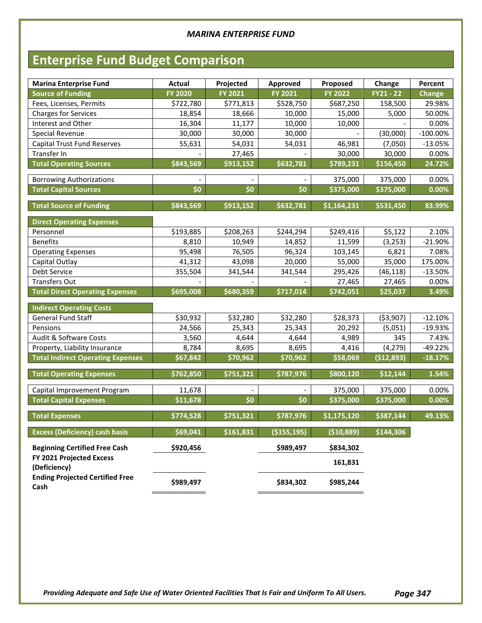## **Enterprise Fund Budget Comparison**

| <b>Marina Enterprise Fund</b>            | <b>Actual</b>  | Projected | Approved           | Proposed       | Change      | Percent       |
|------------------------------------------|----------------|-----------|--------------------|----------------|-------------|---------------|
| <b>Source of Funding</b>                 | <b>FY 2020</b> | FY 2021   | FY 2021            | <b>FY 2022</b> | $FY21 - 22$ | <b>Change</b> |
| Fees, Licenses, Permits                  | \$722,780      | \$771,813 | \$528,750          | \$687,250      | 158,500     | 29.98%        |
| <b>Charges for Services</b>              | 18,854         | 18,666    | 10,000             | 15,000         | 5,000       | 50.00%        |
| Interest and Other                       | 16,304         | 11,177    | 10,000             | 10,000         |             | 0.00%         |
| <b>Special Revenue</b>                   | 30,000         | 30,000    | 30,000             |                | (30,000)    | $-100.00\%$   |
| <b>Capital Trust Fund Reserves</b>       | 55,631         | 54,031    | 54,031             | 46,981         | (7,050)     | $-13.05%$     |
| Transfer In                              |                | 27,465    |                    | 30,000         | 30,000      | 0.00%         |
| <b>Total Operating Sources</b>           | \$843,569      | \$913,152 | \$632,781          | \$789,231      | \$156,450   | 24.72%        |
| <b>Borrowing Authorizations</b>          |                |           |                    | 375,000        | 375,000     | 0.00%         |
| <b>Total Capital Sources</b>             | \$0            | \$0       | \$0                | \$375,000      | \$375,000   | $0.00\%$      |
|                                          |                |           |                    |                |             |               |
| <b>Total Source of Funding</b>           | \$843,569      | \$913,152 | \$632,781          | \$1,164,231    | \$531,450   | 83.99%        |
| <b>Direct Operating Expenses</b>         |                |           |                    |                |             |               |
| Personnel                                | \$193,885      | \$208,263 | \$244,294          | \$249,416      | \$5,122     | 2.10%         |
| <b>Benefits</b>                          | 8,810          | 10,949    | 14,852             | 11,599         | (3, 253)    | $-21.90%$     |
| <b>Operating Expenses</b>                | 95,498         | 76,505    | 96,324             | 103,145        | 6,821       | 7.08%         |
| Capital Outlay                           | 41,312         | 43,098    | 20,000             | 55,000         | 35,000      | 175.00%       |
| Debt Service                             | 355,504        | 341,544   | 341,544            | 295,426        | (46, 118)   | $-13.50%$     |
| <b>Transfers Out</b>                     |                |           |                    | 27,465         | 27,465      | 0.00%         |
| <b>Total Direct Operating Expenses</b>   | \$695,008      | \$680,359 | \$717,014          | \$742,051      | \$25,037    | 3.49%         |
|                                          |                |           |                    |                |             |               |
| <b>Indirect Operating Costs</b>          |                |           |                    |                |             |               |
| General Fund Staff                       | \$30,932       | \$32,280  | \$32,280           | \$28,373       | ( \$3,907)  | $-12.10%$     |
| Pensions                                 | 24,566         | 25,343    | 25,343             | 20,292         | (5,051)     | $-19.93%$     |
| Audit & Software Costs                   | 3,560          | 4,644     | 4,644              | 4,989          | 345         | 7.43%         |
| Property, Liability Insurance            | 8,784          | 8,695     | 8,695              | 4,416          | (4, 279)    | $-49.22%$     |
| <b>Total Indirect Operating Expenses</b> | \$67,842       | \$70,962  | \$70,962           | \$58,069       | (\$12,893)  | $-18.17%$     |
| <b>Total Operating Expenses</b>          | \$762,850      | \$751,321 | \$787,976          | \$800,120      | \$12,144    | 1.54%         |
|                                          |                |           |                    |                |             |               |
| Capital Improvement Program              | 11,678         |           |                    | 375,000        | 375,000     | 0.00%         |
| <b>Total Capital Expenses</b>            | \$11,678       | \$0       | \$0                | \$375,000      | \$375,000   | $0.00\%$      |
| <b>Total Expenses</b>                    | \$774,528      | \$751,321 | \$787,976          | \$1,175,120    | \$387,144   | 49.13%        |
| <b>Excess (Deficiency) cash basis</b>    | \$69,041       | \$161,831 | $($ \$155,195) $ $ | ( \$10,889)    | \$144,306   |               |
| <b>Beginning Certified Free Cash</b>     | \$920,456      |           | \$989,497          | \$834,302      |             |               |
| FY 2021 Projected Excess<br>(Deficiency) |                |           |                    | 161,831        |             |               |
| <b>Ending Projected Certified Free</b>   | \$989,497      |           | \$834,302          | \$985,244      |             |               |
| Cash                                     |                |           |                    |                |             |               |

*Providing Adequate and Safe Use of Water Oriented Facilities That Is Fair and Uniform To All Users. Page 347*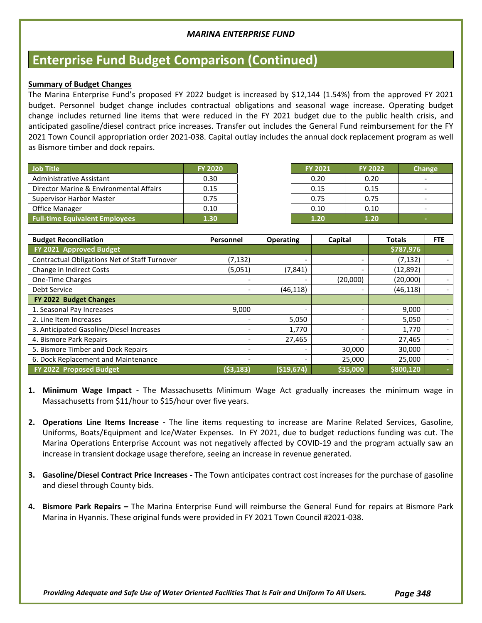### **Enterprise Fund Budget Comparison (Continued)**

#### **Summary of Budget Changes**

The Marina Enterprise Fund's proposed FY 2022 budget is increased by \$12,144 (1.54%) from the approved FY 2021 budget. Personnel budget change includes contractual obligations and seasonal wage increase. Operating budget change includes returned line items that were reduced in the FY 2021 budget due to the public health crisis, and anticipated gasoline/diesel contract price increases. Transfer out includes the General Fund reimbursement for the FY 2021 Town Council appropriation order 2021-038. Capital outlay includes the annual dock replacement program as well as Bismore timber and dock repairs.

| Job Title                               | <b>FY 2020</b> | <b>FY 2021</b> | <b>FY 2022</b> | <b>Change</b> |
|-----------------------------------------|----------------|----------------|----------------|---------------|
| Administrative Assistant                | 0.30           | 0.20           | 0.20           |               |
| Director Marine & Environmental Affairs | 0.15           | 0.15           | 0.15           |               |
| <b>Supervisor Harbor Master</b>         | 0.75           | 0.75           | 0.75           |               |
| Office Manager                          | 0.10           | 0.10           | 0.10           |               |
| <b>Full-time Equivalent Employees</b>   | 1.30           | 1.20           | 1.20           |               |

| <b>FY 2021</b> | <b>FY 2022</b> | <b>Change</b> |
|----------------|----------------|---------------|
| 0.20           | 0.20           |               |
| 0.15           | 0.15           |               |
| 0.75           | 0.75           |               |
| 0.10           | 0.10           |               |
| 1.20           | 1.20           | -             |

| <b>Budget Reconciliation</b>                  | Personnel | <b>Operating</b> | Capital  | <b>Totals</b> | <b>FTE</b> |
|-----------------------------------------------|-----------|------------------|----------|---------------|------------|
| FY 2021 Approved Budget                       |           |                  |          | \$787,976     |            |
| Contractual Obligations Net of Staff Turnover | (7, 132)  |                  |          | (7, 132)      |            |
| Change in Indirect Costs                      | (5,051)   | (7, 841)         |          | (12, 892)     |            |
| One-Time Charges                              |           |                  | (20,000) | (20,000)      |            |
| Debt Service                                  |           | (46, 118)        |          | (46, 118)     |            |
| FY 2022 Budget Changes                        |           |                  |          |               |            |
| 1. Seasonal Pay Increases                     | 9,000     |                  |          | 9,000         |            |
| 2. Line Item Increases                        |           | 5,050            |          | 5,050         |            |
| 3. Anticipated Gasoline/Diesel Increases      |           | 1,770            |          | 1,770         |            |
| 4. Bismore Park Repairs                       |           | 27,465           |          | 27,465        |            |
| 5. Bismore Timber and Dock Repairs            |           |                  | 30,000   | 30,000        |            |
| 6. Dock Replacement and Maintenance           |           |                  | 25,000   | 25,000        |            |
| FY 2022 Proposed Budget                       | (\$3,183) | ( \$19, 674]     | \$35,000 | \$800,120     |            |

- **1. Minimum Wage Impact -** The Massachusetts Minimum Wage Act gradually increases the minimum wage in Massachusetts from \$11/hour to \$15/hour over five years.
- **2. Operations Line Items Increase -** The line items requesting to increase are Marine Related Services, Gasoline, Uniforms, Boats/Equipment and Ice/Water Expenses. In FY 2021, due to budget reductions funding was cut. The Marina Operations Enterprise Account was not negatively affected by COVID-19 and the program actually saw an increase in transient dockage usage therefore, seeing an increase in revenue generated.
- **3. Gasoline/Diesel Contract Price Increases -** The Town anticipates contract cost increases for the purchase of gasoline and diesel through County bids.
- **4. Bismore Park Repairs –** The Marina Enterprise Fund will reimburse the General Fund for repairs at Bismore Park Marina in Hyannis. These original funds were provided in FY 2021 Town Council #2021-038.

*Providing Adequate and Safe Use of Water Oriented Facilities That Is Fair and Uniform To All Users. Page 348*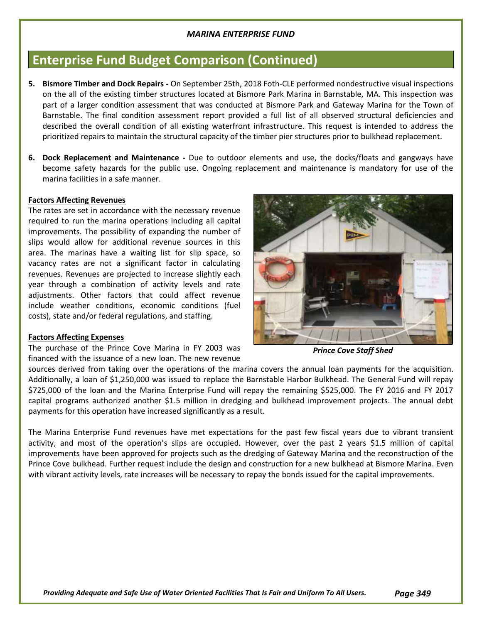### **Enterprise Fund Budget Comparison (Continued)**

- **5. Bismore Timber and Dock Repairs -** On September 25th, 2018 Foth-CLE performed nondestructive visual inspections on the all of the existing timber structures located at Bismore Park Marina in Barnstable, MA. This inspection was part of a larger condition assessment that was conducted at Bismore Park and Gateway Marina for the Town of Barnstable. The final condition assessment report provided a full list of all observed structural deficiencies and described the overall condition of all existing waterfront infrastructure. This request is intended to address the prioritized repairs to maintain the structural capacity of the timber pier structures prior to bulkhead replacement.
- **6. Dock Replacement and Maintenance -** Due to outdoor elements and use, the docks/floats and gangways have become safety hazards for the public use. Ongoing replacement and maintenance is mandatory for use of the marina facilities in a safe manner.

#### **Factors Affecting Revenues**

The rates are set in accordance with the necessary revenue required to run the marina operations including all capital improvements. The possibility of expanding the number of slips would allow for additional revenue sources in this area. The marinas have a waiting list for slip space, so vacancy rates are not a significant factor in calculating revenues. Revenues are projected to increase slightly each year through a combination of activity levels and rate adjustments. Other factors that could affect revenue include weather conditions, economic conditions (fuel costs), state and/or federal regulations, and staffing.

#### **Factors Affecting Expenses**

The purchase of the Prince Cove Marina in FY 2003 was financed with the issuance of a new loan. The new revenue



*Prince Cove Staff Shed*

sources derived from taking over the operations of the marina covers the annual loan payments for the acquisition. Additionally, a loan of \$1,250,000 was issued to replace the Barnstable Harbor Bulkhead. The General Fund will repay \$725,000 of the loan and the Marina Enterprise Fund will repay the remaining \$525,000. The FY 2016 and FY 2017 capital programs authorized another \$1.5 million in dredging and bulkhead improvement projects. The annual debt payments for this operation have increased significantly as a result.

The Marina Enterprise Fund revenues have met expectations for the past few fiscal years due to vibrant transient activity, and most of the operation's slips are occupied. However, over the past 2 years \$1.5 million of capital improvements have been approved for projects such as the dredging of Gateway Marina and the reconstruction of the Prince Cove bulkhead. Further request include the design and construction for a new bulkhead at Bismore Marina. Even with vibrant activity levels, rate increases will be necessary to repay the bonds issued for the capital improvements.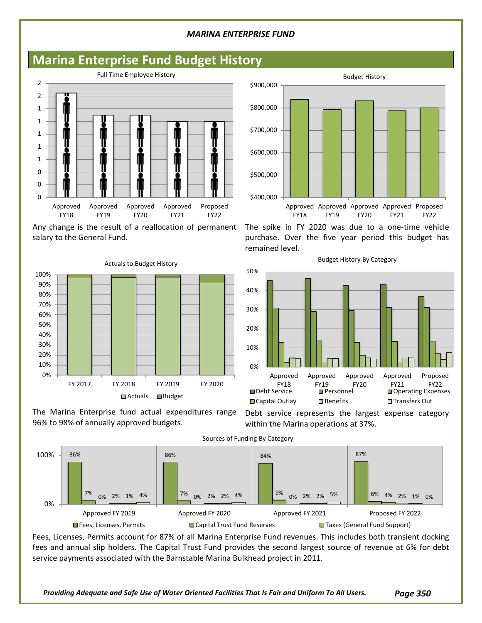### **Marina Enterprise Fund Budget History**



Any change is the result of a reallocation of permanent salary to the General Fund.



The Marina Enterprise fund actual expenditures range 96% to 98% of annually approved budgets.



The spike in FY 2020 was due to a one-time vehicle purchase. Over the five year period this budget has remained level.



Debt service represents the largest expense category

within the Marina operations at 37%.



Fees, Licenses, Permits account for 87% of all Marina Enterprise Fund revenues. This includes both transient docking fees and annual slip holders. The Capital Trust Fund provides the second largest source of revenue at 6% for debt service payments associated with the Barnstable Marina Bulkhead project in 2011.

Budget History By Category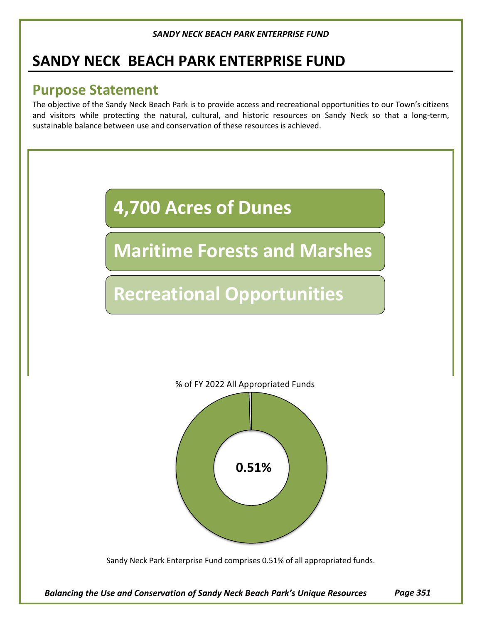### **SANDY NECK BEACH PARK ENTERPRISE FUND**

### **Purpose Statement**

The objective of the Sandy Neck Beach Park is to provide access and recreational opportunities to our Town's citizens and visitors while protecting the natural, cultural, and historic resources on Sandy Neck so that a long-term, sustainable balance between use and conservation of these resources is achieved.



Sandy Neck Park Enterprise Fund comprises 0.51% of all appropriated funds.

*Balancing the Use and Conservation of Sandy Neck Beach Park's Unique Resources Page 351*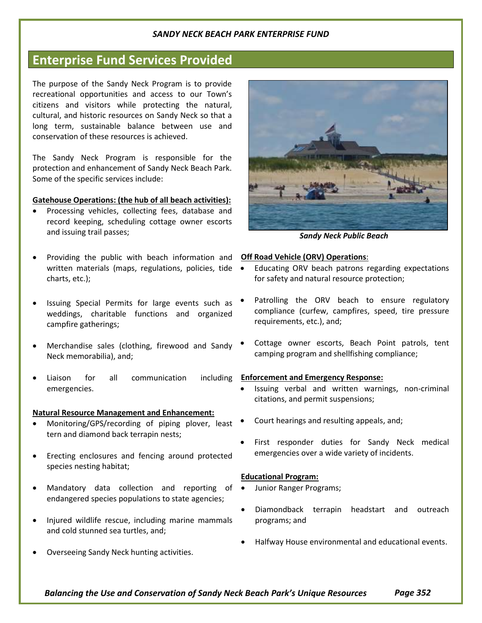### **Enterprise Fund Services Provided**

The purpose of the Sandy Neck Program is to provide recreational opportunities and access to our Town's citizens and visitors while protecting the natural, cultural, and historic resources on Sandy Neck so that a long term, sustainable balance between use and conservation of these resources is achieved.

The Sandy Neck Program is responsible for the protection and enhancement of Sandy Neck Beach Park. Some of the specific services include:

#### **Gatehouse Operations: (the hub of all beach activities):**

- Processing vehicles, collecting fees, database and record keeping, scheduling cottage owner escorts and issuing trail passes;
- Providing the public with beach information and written materials (maps, regulations, policies, tide . charts, etc.);
- Issuing Special Permits for large events such as weddings, charitable functions and organized campfire gatherings;
- Merchandise sales (clothing, firewood and Sandy Neck memorabilia), and;
- Liaison for all communication emergencies.

#### **Natural Resource Management and Enhancement:**

- Monitoring/GPS/recording of piping plover, least tern and diamond back terrapin nests;
- Erecting enclosures and fencing around protected species nesting habitat;
- Mandatory data collection and reporting of  $\bullet$ endangered species populations to state agencies;
- Injured wildlife rescue, including marine mammals and cold stunned sea turtles, and;
- Overseeing Sandy Neck hunting activities.



*Sandy Neck Public Beach*

#### **Off Road Vehicle (ORV) Operations**:

- Educating ORV beach patrons regarding expectations for safety and natural resource protection;
- Patrolling the ORV beach to ensure regulatory compliance (curfew, campfires, speed, tire pressure requirements, etc.), and;
- Cottage owner escorts, Beach Point patrols, tent camping program and shellfishing compliance;

#### **Enforcement and Emergency Response:**

- Issuing verbal and written warnings, non-criminal citations, and permit suspensions;
- Court hearings and resulting appeals, and;
- First responder duties for Sandy Neck medical emergencies over a wide variety of incidents.

#### **Educational Program:**

- Junior Ranger Programs;
- Diamondback terrapin headstart and outreach programs; and
- Halfway House environmental and educational events.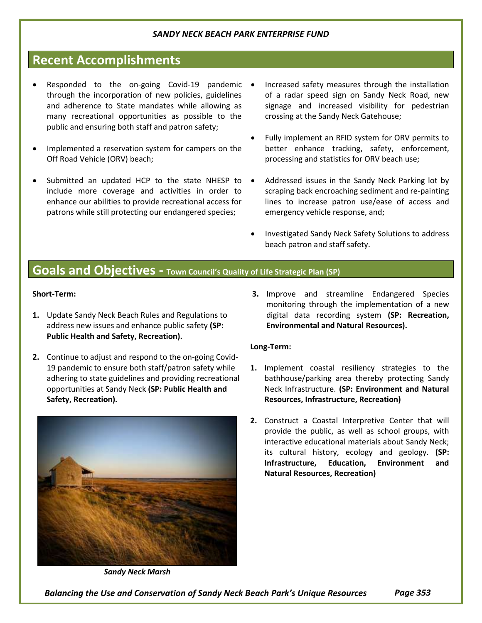### **Recent Accomplishments**

- Responded to the on-going Covid-19 pandemic through the incorporation of new policies, guidelines and adherence to State mandates while allowing as many recreational opportunities as possible to the public and ensuring both staff and patron safety;
- Implemented a reservation system for campers on the Off Road Vehicle (ORV) beach;
- Submitted an updated HCP to the state NHESP to  $\bullet$ include more coverage and activities in order to enhance our abilities to provide recreational access for patrons while still protecting our endangered species;
- Increased safety measures through the installation of a radar speed sign on Sandy Neck Road, new signage and increased visibility for pedestrian crossing at the Sandy Neck Gatehouse;
- Fully implement an RFID system for ORV permits to better enhance tracking, safety, enforcement, processing and statistics for ORV beach use;
- Addressed issues in the Sandy Neck Parking lot by scraping back encroaching sediment and re-painting lines to increase patron use/ease of access and emergency vehicle response, and;
	- Investigated Sandy Neck Safety Solutions to address beach patron and staff safety.

### **Goals and Objectives - Town Council's Quality of Life Strategic Plan (SP)**

#### **Short-Term:**

- **1.** Update Sandy Neck Beach Rules and Regulations to address new issues and enhance public safety **(SP: Public Health and Safety, Recreation).**
- **2.** Continue to adjust and respond to the on-going Covid-19 pandemic to ensure both staff/patron safety while adhering to state guidelines and providing recreational opportunities at Sandy Neck **(SP: Public Health and Safety, Recreation).**



*Sandy Neck Marsh*

**3.** Improve and streamline Endangered Species monitoring through the implementation of a new digital data recording system **(SP: Recreation, Environmental and Natural Resources).**

#### **Long-Term:**

- **1.** Implement coastal resiliency strategies to the bathhouse/parking area thereby protecting Sandy Neck Infrastructure. **(SP: Environment and Natural Resources, Infrastructure, Recreation)**
- **2.** Construct a Coastal Interpretive Center that will provide the public, as well as school groups, with interactive educational materials about Sandy Neck; its cultural history, ecology and geology. **(SP: Infrastructure, Education, Environment and Natural Resources, Recreation)**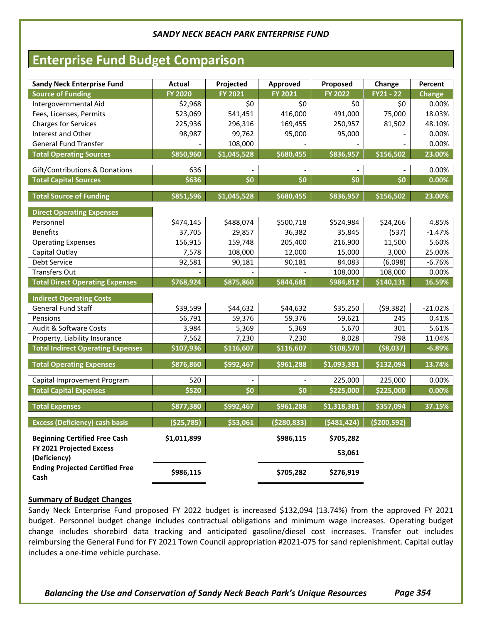### **Enterprise Fund Budget Comparison**

| <b>Sandy Neck Enterprise Fund</b>              | Actual         | Projected   | <b>Approved</b> | Proposed    | Change        | Percent       |
|------------------------------------------------|----------------|-------------|-----------------|-------------|---------------|---------------|
| <b>Source of Funding</b>                       | <b>FY 2020</b> | FY 2021     | <b>FY 2021</b>  | FY 2022     | $FY21 - 22$   | <b>Change</b> |
| Intergovernmental Aid                          | \$2,968        | \$0         | \$0             | \$0         | \$0           | 0.00%         |
| Fees, Licenses, Permits                        | 523,069        | 541,451     | 416,000         | 491,000     | 75,000        | 18.03%        |
| Charges for Services                           | 225,936        | 296,316     | 169,455         | 250,957     | 81,502        | 48.10%        |
| Interest and Other                             | 98,987         | 99,762      | 95,000          | 95,000      |               | 0.00%         |
| <b>General Fund Transfer</b>                   |                | 108,000     |                 |             |               | 0.00%         |
| <b>Total Operating Sources</b>                 | \$850,960      | \$1,045,528 | \$680,455       | \$836,957   | \$156,502     | 23.00%        |
| Gift/Contributions & Donations                 | 636            |             |                 |             |               | 0.00%         |
| <b>Total Capital Sources</b>                   | \$636          | \$0         | \$0             | \$0         | \$0           | 0.00%         |
| <b>Total Source of Funding</b>                 | \$851,596      | \$1,045,528 | \$680,455       | \$836,957   | \$156,502     | 23.00%        |
| <b>Direct Operating Expenses</b>               |                |             |                 |             |               |               |
| Personnel                                      | \$474,145      | \$488,074   | \$500,718       | \$524,984   | \$24,266      | 4.85%         |
| <b>Benefits</b>                                | 37,705         | 29,857      | 36,382          | 35,845      | (537)         | $-1.47%$      |
| <b>Operating Expenses</b>                      | 156,915        | 159,748     | 205,400         | 216,900     | 11,500        | 5.60%         |
| Capital Outlay                                 | 7,578          | 108,000     | 12,000          | 15,000      | 3,000         | 25.00%        |
| Debt Service                                   | 92,581         | 90,181      | 90,181          | 84,083      | (6,098)       | $-6.76%$      |
| <b>Transfers Out</b>                           |                |             |                 | 108,000     | 108,000       | 0.00%         |
| <b>Total Direct Operating Expenses</b>         | \$768,924      | \$875,860   | \$844,681       | \$984,812   | \$140,131     | 16.59%        |
| <b>Indirect Operating Costs</b>                |                |             |                 |             |               |               |
| <b>General Fund Staff</b>                      | \$39,599       | \$44,632    | \$44,632        | \$35,250    | (59, 382)     | $-21.02%$     |
| Pensions                                       | 56,791         | 59,376      | 59,376          | 59,621      | 245           | 0.41%         |
| Audit & Software Costs                         | 3,984          | 5,369       | 5,369           | 5,670       | 301           | 5.61%         |
| Property, Liability Insurance                  | 7,562          | 7,230       | 7,230           | 8,028       | 798           | 11.04%        |
| <b>Total Indirect Operating Expenses</b>       | \$107,936      | \$116,607   | \$116,607       | \$108,570   | (\$8,037)     | $-6.89%$      |
| <b>Total Operating Expenses</b>                | \$876,860      | \$992,467   | \$961,288       | \$1,093,381 | \$132,094     | 13.74%        |
| Capital Improvement Program                    | 520            |             |                 | 225,000     | 225,000       | 0.00%         |
| <b>Total Capital Expenses</b>                  | \$520          | \$0         | \$0             | \$225,000   | \$225,000     | $0.00\%$      |
| <b>Total Expenses</b>                          | \$877,380      | \$992,467   | \$961,288       | \$1,318,381 | \$357,094     | 37.15%        |
| <b>Excess (Deficiency) cash basis</b>          | (\$25,785)     | \$53,061    | (\$280,833)     | (5481, 424) | ( \$200, 592) |               |
| <b>Beginning Certified Free Cash</b>           | \$1,011,899    |             | \$986,115       | \$705,282   |               |               |
| FY 2021 Projected Excess<br>(Deficiency)       |                |             |                 | 53,061      |               |               |
| <b>Ending Projected Certified Free</b><br>Cash | \$986,115      |             | \$705,282       | \$276,919   |               |               |

#### **Summary of Budget Changes**

Sandy Neck Enterprise Fund proposed FY 2022 budget is increased \$132,094 (13.74%) from the approved FY 2021 budget. Personnel budget change includes contractual obligations and minimum wage increases. Operating budget change includes shorebird data tracking and anticipated gasoline/diesel cost increases. Transfer out includes reimbursing the General Fund for FY 2021 Town Council appropriation #2021-075 for sand replenishment. Capital outlay includes a one-time vehicle purchase.

*Balancing the Use and Conservation of Sandy Neck Beach Park's Unique Resources Page 354*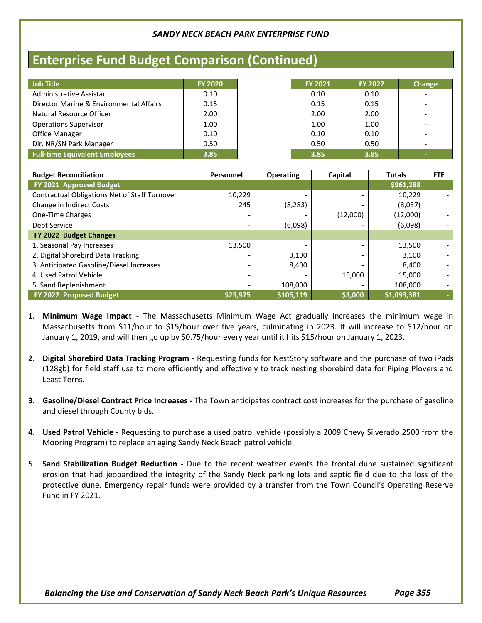### **Enterprise Fund Budget Comparison (Continued)**

| Job Title                               | <b>FY 2020</b> | <b>FY 2021</b> | <b>FY 2022</b> |
|-----------------------------------------|----------------|----------------|----------------|
| <b>Administrative Assistant</b>         | 0.10           | 0.10           | 0.10           |
| Director Marine & Environmental Affairs | 0.15           | 0.15           | 0.15           |
| Natural Resource Officer                | 2.00           | 2.00           | 2.00           |
| <b>Operations Supervisor</b>            | 1.00           | 1.00           | 1.00           |
| <b>Office Manager</b>                   | 0.10           | 0.10           | 0.10           |
| Dir. NR/SN Park Manager                 | 0.50           | 0.50           | 0.50           |
| <b>Full-time Equivalent Employees</b>   | 3.85           | 3.85           | 3.85           |

| <b>FY 2021</b> | <b>FY 2022</b> | <b>Change</b> |
|----------------|----------------|---------------|
| 0.10           | 0.10           |               |
| 0.15           | 0.15           |               |
| 2.00           | 2.00           |               |
| 1.00           | 1.00           |               |
| 0.10           | 0.10           |               |
| 0.50           | 0.50           |               |
| 3.85           | 3.85           | -             |

| <b>Budget Reconciliation</b>                  | Personnel | <b>Operating</b>         | Capital  | <b>Totals</b> | <b>FTE</b> |
|-----------------------------------------------|-----------|--------------------------|----------|---------------|------------|
| FY 2021 Approved Budget                       |           |                          |          | \$961,288     |            |
| Contractual Obligations Net of Staff Turnover | 10,229    |                          |          | 10,229        |            |
| Change in Indirect Costs                      | 245       | (8, 283)                 |          | (8,037)       |            |
| One-Time Charges                              | -         |                          | (12,000) | (12,000)      |            |
| Debt Service                                  |           | (6,098)                  |          | (6,098)       |            |
| FY 2022 Budget Changes                        |           |                          |          |               |            |
| 1. Seasonal Pay Increases                     | 13.500    | $\overline{\phantom{a}}$ |          | 13,500        |            |
| 2. Digital Shorebird Data Tracking            |           | 3,100                    |          | 3,100         |            |
| 3. Anticipated Gasoline/Diesel Increases      | -         | 8,400                    |          | 8,400         |            |
| 4. Used Patrol Vehicle                        | -         |                          | 15,000   | 15,000        |            |
| 5. Sand Replenishment                         |           | 108,000                  |          | 108,000       |            |
| FY 2022 Proposed Budget                       | \$23,975  | \$105,119                | \$3,000  | \$1,093,381   |            |

- **1. Minimum Wage Impact -** The Massachusetts Minimum Wage Act gradually increases the minimum wage in Massachusetts from \$11/hour to \$15/hour over five years, culminating in 2023. It will increase to \$12/hour on January 1, 2019, and will then go up by \$0.75/hour every year until it hits \$15/hour on January 1, 2023.
- **2. Digital Shorebird Data Tracking Program -** Requesting funds for NestStory software and the purchase of two iPads (128gb) for field staff use to more efficiently and effectively to track nesting shorebird data for Piping Plovers and Least Terns.
- **3. Gasoline/Diesel Contract Price Increases -** The Town anticipates contract cost increases for the purchase of gasoline and diesel through County bids.
- **4. Used Patrol Vehicle -** Requesting to purchase a used patrol vehicle (possibly a 2009 Chevy Silverado 2500 from the Mooring Program) to replace an aging Sandy Neck Beach patrol vehicle.
- 5. **Sand Stabilization Budget Reduction -** Due to the recent weather events the frontal dune sustained significant erosion that had jeopardized the integrity of the Sandy Neck parking lots and septic field due to the loss of the protective dune. Emergency repair funds were provided by a transfer from the Town Council's Operating Reserve Fund in FY 2021.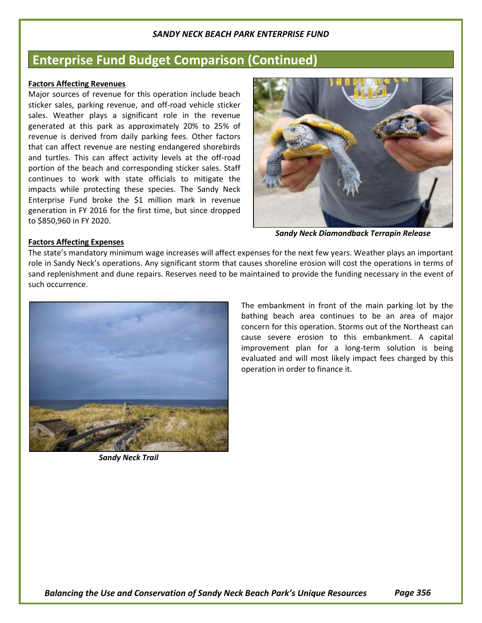### **Enterprise Fund Budget Comparison (Continued)**

#### **Factors Affecting Revenues**

Major sources of revenue for this operation include beach sticker sales, parking revenue, and off-road vehicle sticker sales. Weather plays a significant role in the revenue generated at this park as approximately 20% to 25% of revenue is derived from daily parking fees. Other factors that can affect revenue are nesting endangered shorebirds and turtles. This can affect activity levels at the off-road portion of the beach and corresponding sticker sales. Staff continues to work with state officials to mitigate the impacts while protecting these species. The Sandy Neck Enterprise Fund broke the \$1 million mark in revenue generation in FY 2016 for the first time, but since dropped to \$850,960 in FY 2020.



*Sandy Neck Diamondback Terrapin Release*

#### **Factors Affecting Expenses**

The state's mandatory minimum wage increases will affect expenses for the next few years. Weather plays an important role in Sandy Neck's operations. Any significant storm that causes shoreline erosion will cost the operations in terms of sand replenishment and dune repairs. Reserves need to be maintained to provide the funding necessary in the event of such occurrence.



*Sandy Neck Trail*

The embankment in front of the main parking lot by the bathing beach area continues to be an area of major concern for this operation. Storms out of the Northeast can cause severe erosion to this embankment. A capital improvement plan for a long-term solution is being evaluated and will most likely impact fees charged by this operation in order to finance it.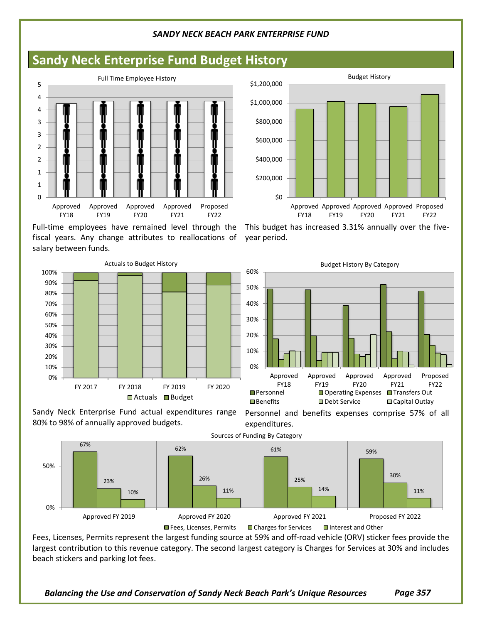### **Sandy Neck Enterprise Fund Budget History**



Full-time employees have remained level through the fiscal years. Any change attributes to reallocations of salary between funds.



Sandy Neck Enterprise Fund actual expenditures range 80% to 98% of annually approved budgets.



Fees, Licenses, Permits represent the largest funding source at 59% and off-road vehicle (ORV) sticker fees provide the largest contribution to this revenue category. The second largest category is Charges for Services at 30% and includes beach stickers and parking lot fees.

\$0 \$200,000 \$400,000 \$600,000 \$800,000 \$1,000,000 \$1,200,000 Approved Approved Approved Approved Proposed FY18 FY19 FY20 FY21 **EV22** Budget History

This budget has increased 3.31% annually over the fiveyear period.



Personnel and benefits expenses comprise 57% of all expenditures.

*Balancing the Use and Conservation of Sandy Neck Beach Park's Unique Resources Page 357*